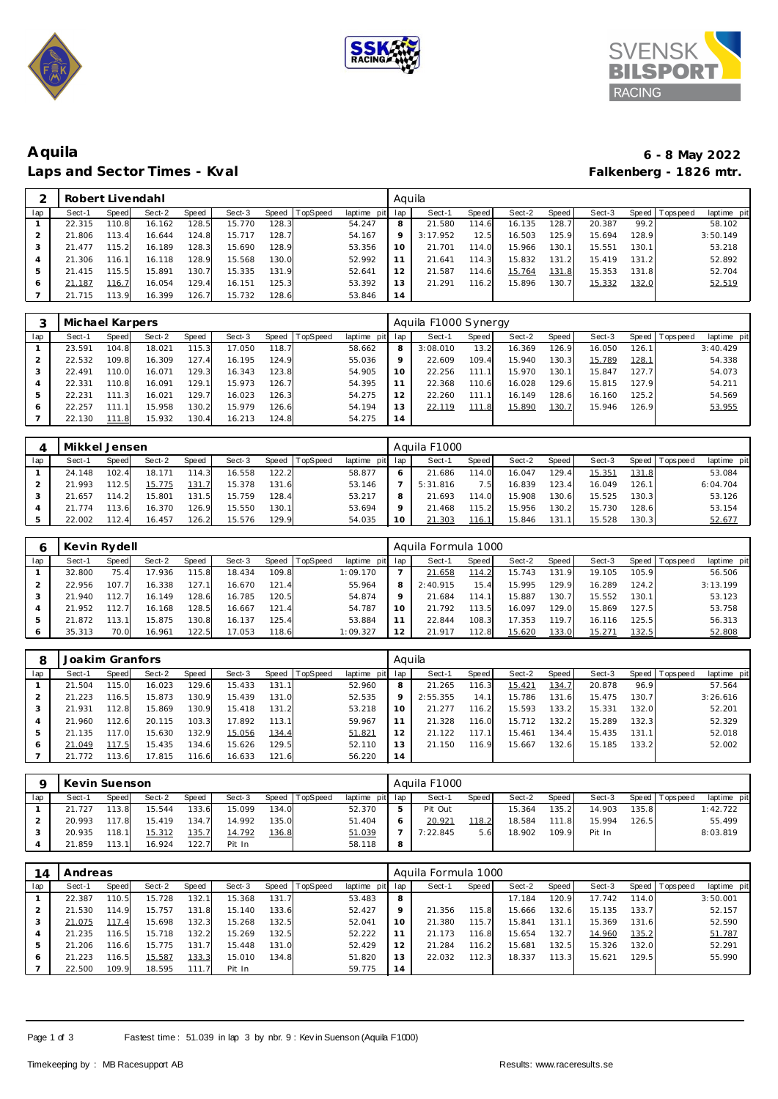





## **Aquila 6 - 8 May 2022** Laps and Sector Times - Kval

|     | Robert Livendahl |              |        |       |        |       |                 |             | Aquila         |          |       |        |                    |        |       |            |             |
|-----|------------------|--------------|--------|-------|--------|-------|-----------------|-------------|----------------|----------|-------|--------|--------------------|--------|-------|------------|-------------|
| lap | Sect-1           | <b>Speed</b> | Sect-2 | Speed | Sect-3 | Speed | <b>TopSpeed</b> | laptime pit | lap            | Sect-1   | Speed | Sect-2 | Speed              | Sect-3 | Speed | Tops pee d | laptime pit |
|     | 22.315           | 110.8        | 16.162 | 128.5 | 15.770 | 128.3 |                 | 54.247      | 8              | 21.580   | 114.6 | 16.135 | 128.7 <sub>1</sub> | 20.387 | 99.2  |            | 58.102      |
|     | 21.806           | 113.4        | 16.644 | 124.8 | 15.717 | 128.7 |                 | 54.167      | $\circ$        | 3:17.952 | 12.5  | 16.503 | 125.9              | 15.694 | 128.9 |            | 3:50.149    |
|     | .477<br>21       | 115.2        | 16.189 | 128.3 | 15.690 | 128.9 |                 | 53.356      |                | 21.701   | 114.0 | 15.966 | 130.1              | 15.551 | 130.1 |            | 53.218      |
|     | 21.306           | 116.1        | 16.118 | 128.9 | 15.568 | 130.0 |                 | 52.992      |                | 21.641   | 114.3 | 15.832 | 131.2              | 15.419 | 131.2 |            | 52.892      |
|     | .415<br>21       | 115.5        | 15.891 | 130.7 | 15.335 | 131.9 |                 | 52.641      | $\overline{2}$ | 21.587   | 114.6 | 15.764 | 131.8              | 15.353 | 131.8 |            | 52.704      |
|     | 21.187           | 116.7        | 16.054 | 129.4 | 16.151 | 125.3 |                 | 53.392      |                | 21.291   | 116.2 | 15.896 | 130.7              | 15.332 | 132.0 |            | 52.519      |
|     | 21.715           | 113.9        | 16.399 | 126.7 | 15.732 | 128.6 |                 | 53.846      | $\overline{A}$ |          |       |        |                    |        |       |            |             |

|     | Michael Karpers |                  |        |       |        |       |          |                 |         | Aguila F1000 Synergy |       |        |              |        |               |                 |             |
|-----|-----------------|------------------|--------|-------|--------|-------|----------|-----------------|---------|----------------------|-------|--------|--------------|--------|---------------|-----------------|-------------|
| lap | Sect-1          | Speed            | Sect-2 | Speed | Sect-3 | Speed | TopSpeed | laptime pit lap |         | Sect-1               | Speed | Sect-2 | <b>Speed</b> | Sect-3 |               | Speed Tops peed | laptime pit |
|     | 23.591          | 104.8            | 18.021 | 115.3 | 17.050 | 118.7 |          | 58.662          | 8       | 3:08.010             | 13.2  | 16.369 | 126.9        | 16.050 | 126.1         |                 | 3:40.429    |
|     | 22.532          | 109.8            | 16.309 | 127.4 | 16.195 | 124.9 |          | 55.036          | $\circ$ | 22.609               | 109.4 | 15.940 | 130.3        | 15.789 | <u> 128.1</u> |                 | 54.338      |
|     | 22.491          | 110.0            | 16.071 | 129.3 | 16.343 | 123.8 |          | 54.905          | 10      | 22.256               | 111.1 | 15.970 | 130.1        | 15.847 | 127.7         |                 | 54.073      |
|     | 22.331          | 110.8            | 16.091 | 129.1 | 15.973 | 126.7 |          | 54.395          |         | 22.368               | 110.6 | 16.028 | 129.6        | 15.815 | 127.9         |                 | 54.211      |
|     | 22.231          | 111<br>$\cdot$ 3 | 16.021 | 129.  | 16.023 | 126.3 |          | 54.275          | 12      | 22.260               | 111.1 | 16.149 | 128.6        | 16.160 | 125.2         |                 | 54.569      |
| 6   | 22.257          | 111              | 15.958 | 130.2 | 15.979 | 126.6 |          | 54.194          | 13      | 22.119               | 111.8 | 15.890 | 130.7        | 15.946 | 126.9         |                 | 53.955      |
|     | 22.130          | 111.8            | 15.932 | 130.4 | 16.213 | 124.8 |          | 54.275          | 14      |                      |       |        |              |        |               |                 |             |

|     | Mikkel Jensen |        |        |       |        |        |                 |             |     | Aguila F1000 |       |        |                    |                    |        |            |             |
|-----|---------------|--------|--------|-------|--------|--------|-----------------|-------------|-----|--------------|-------|--------|--------------------|--------------------|--------|------------|-------------|
| lap | Sect-1        | Speed  | Sect-2 | Speed | Sect-3 | Speed  | <b>TopSpeed</b> | laptime pit | lap | Sect-1       | Speed | Sect-2 | Speed              | Sect-3             | Speed  | Tops pee d | laptime pit |
|     | 24.148        | 102.4  | 18.171 | 114.3 | 16.558 | 122.2  |                 | 58.877      |     | 21.686       | 114.0 | 16.047 | 129.4              | 15.35 <sup>1</sup> | 131.8  |            | 53.084      |
|     | .993          | 112.5  | 15.775 | 131.7 | 15.378 | 131.6  |                 | 53.146      |     | 5:31.816     | 7.5I  | 16.839 | 123.4              | 16.049             | 126.1  |            | 6:04.704    |
|     | .657          | 114.2  | 15.801 | 131.5 | 15.759 | 128.4  |                 | 53.217      |     | 21.693       | 114.0 | 15.908 | 130.61             | 15.525             | 130.3  |            | 53.126      |
|     | .774          | 113.61 | 16.370 | 126.9 | 15.550 | 130.1. |                 | 53.694      |     | 21.468       | 115.2 | 15.956 | 130.2 <sub>1</sub> | 15.730             | 128.61 |            | 53.154      |
|     | 22.002        | 112.4  | 16.457 | 126.2 | 15.576 | 129.9  |                 | 54.035      |     | 21.303       | 116.1 | 15.846 | 131.               | 15.528             | 130.3  |            | 52.677      |

|              | Kevin Rydell |       |        |       |        |       |                 |             |     | Aquila Formula 1000 |       |        |       |        |       |            |             |
|--------------|--------------|-------|--------|-------|--------|-------|-----------------|-------------|-----|---------------------|-------|--------|-------|--------|-------|------------|-------------|
| lap          | Sect-1       | Speed | Sect-2 | Speed | Sect-3 | Speed | <b>TopSpeed</b> | laptime pit | lap | Sect-1              | Speed | Sect-2 | Speed | Sect-3 | Speed | T ops peed | laptime pit |
|              | 32.800       | 75.4  | 17.936 | 115.8 | 18.434 | 109.8 |                 | 1:09.170    |     | 21.658              | 114.2 | 15.743 | 131.9 | 19.105 | 105.9 |            | 56.506      |
|              | 22.956       | 107.7 | 16.338 | 127.1 | 16.670 | 121.4 |                 | 55.964      | 8   | 2:40.915            | 15.4  | 15.995 | 129.9 | 16.289 | 124.2 |            | 3:13.199    |
|              | 21.940       | 112.7 | 16.149 | 128.6 | 16.785 | 120.5 |                 | 54.874      |     | 21.684              | 114.1 | 15.887 | 130.7 | 15.552 | 130.1 |            | 53.123      |
|              | 21.952       | 112.7 | 16.168 | 128.5 | 16.667 | 121.4 |                 | 54.787      | 10  | 21.792              | 113.5 | 16.097 | 129.0 | 15.869 | 127.5 |            | 53.758      |
| $\mathbf{p}$ | 21.872       | 13.1  | 15.875 | 130.8 | 16.137 | 125.4 |                 | 53.884      |     | 22.844              | 108.3 | 17.353 | 119.7 | 16.116 | 125.5 |            | 56.313      |
| 6            | 35.313       | 70.0  | 16.961 | 122.5 | 17.053 | 118.6 |                 | 1:09.327    | 12  | 21.917              | 112.8 | 15.620 | 133.0 | 15.271 | 132.5 |            | 52.808      |

|     | Joakim Granfors |              |        |       |        |       |          |                | Aquila   |          |       |        |        |        |         |             |             |
|-----|-----------------|--------------|--------|-------|--------|-------|----------|----------------|----------|----------|-------|--------|--------|--------|---------|-------------|-------------|
| lap | Sect-1          | <b>Speed</b> | Sect-2 | Speed | Sect-3 | Speed | TopSpeed | laptime<br>pit | lap      | Sect-1   | Speed | Sect-2 | Speed  | Sect-3 | Speed I | T ops pee d | laptime pit |
|     | 21.504          | 115.0        | 16.023 | 129.6 | 15.433 | 131.1 |          | 52.960         | 8        | 21.265   | 116.3 | 15.421 | 134.7  | 20.878 | 96.9    |             | 57.564      |
|     | .223            | 116.5        | 15.873 | 130.9 | 15.439 | 131.0 |          | 52.535         | $\Omega$ | 2:55.355 | 14.1  | 15.786 | 131.6  | 15.475 | 130.7   |             | 3:26.616    |
|     | 21.931          | 112.8        | 15.869 | 130.9 | 15.418 | 131.2 |          | 53.218         | 10       | 21.277   | 116.2 | 15.593 | 133.2  | 15.331 | 132.0   |             | 52.201      |
|     | .960            | 112.6        | 20.115 | 103.3 | 17.892 | 113.1 |          | 59.967         |          | 21.328   | 116.0 | 15.712 | 132.2  | 15.289 | 132.3   |             | 52.329      |
|     | 21.135          | 117.0        | 15.630 | 132.9 | 15.056 | 134.4 |          | 51.821         | 12       | 21.122   | 117.1 | 15.461 | 134.41 | 15.435 | 131.1   |             | 52.018      |
| 6   | 21.049          | 117.5        | 15.435 | 134.6 | 15.626 | 129.5 |          | 52.110         |          | 21.150   | 116.9 | 15.667 | 132.6  | 15.185 | 133.2   |             | 52.002      |
|     | 21.772          | 113.6        | 17.815 | 116.6 | 16.633 | 121.6 |          | 56.220         | 14       |          |       |        |        |        |         |             |             |

|     | Kevin Suenson |       |        |       |        |       |                 |                 |   | Aguila F1000    |       |        |       |        |       |                 |             |
|-----|---------------|-------|--------|-------|--------|-------|-----------------|-----------------|---|-----------------|-------|--------|-------|--------|-------|-----------------|-------------|
| lap | Sect-1        | Speed | Sect-2 | Speed | Sect-3 | Speed | <b>TopSpeed</b> | laptime pit lap |   | Sect-1          | Speed | Sect-2 | Speed | Sect-3 |       | Speed Tops peed | laptime pit |
|     | 21.727        | 113.8 | 15.544 | 133.6 | 15.099 | 134.0 |                 | 52.370          |   | Pit Out         |       | 15.364 | 135.2 | 14.903 | 135.8 |                 | 1:42.722    |
|     | 20.993        | 17.8  | 15.419 | 134.7 | 14.992 | 135.0 |                 | 51.404          |   | $20.92^{\circ}$ | 118.2 | 18.584 | 111.8 | 15.994 | 126.5 |                 | 55.499      |
|     | 20.935        | 118.1 | 15.312 | 135.7 | 14.792 | 136.8 |                 | 51.039          |   | 7:22.845        | 5.6   | 18.902 | 109.9 | Pit In |       |                 | 8:03.819    |
|     | 21.859        | 113.1 | 16.924 | 122.7 | Pit In |       |                 | 58.118          | 8 |                 |       |        |       |        |       |                 |             |

| 14  | Andreas |       |        |       |        |       |                |             |         | Aquila Formula 1000 |              |        |       |        |       |                   |             |
|-----|---------|-------|--------|-------|--------|-------|----------------|-------------|---------|---------------------|--------------|--------|-------|--------|-------|-------------------|-------------|
| lap | Sect-1  | Speed | Sect-2 | Speed | Sect-3 |       | Speed TopSpeed | laptime pit | lap     | Sect-1              | <b>Speed</b> | Sect-2 | Speed | Sect-3 |       | Speed   Tops peed | laptime pit |
|     | 22.387  | 110.5 | 15.728 | 132.1 | 15.368 | 131.7 |                | 53.483      | 8       |                     |              | 17.184 | 120.9 | 17.742 | 114.0 |                   | 3:50.001    |
|     | 21.530  | 114.9 | 15.757 | 131.8 | 15.140 | 133.6 |                | 52.427      | $\circ$ | 21.356              | 115.8        | 15.666 | 132.6 | 15.135 | 133.7 |                   | 52.157      |
|     | 21.075  | 17.4  | 15.698 | 132.3 | 15.268 | 132.5 |                | 52.041      | 10      | 21.380              | 115.7        | 15.841 | 131.1 | 15.369 | 131.6 |                   | 52.590      |
|     | 21.235  | 116.5 | 15.718 | 132.2 | 15.269 | 132.5 |                | 52.222      | 11      | 21.173              | 116.8        | 15.654 | 132.7 | 14.960 | 135.2 |                   | 51.787      |
| ь   | 21.206  | 116.6 | 15.775 | 131.7 | 15.448 | 131.0 |                | 52.429      | 12      | 21.284              | 116.2        | 15.681 | 132.5 | 15.326 | 132.0 |                   | 52.291      |
| 6   | 21.223  | 116.5 | 15.587 | 133.3 | 15.010 | 134.8 |                | 51.820      | 13      | 22.032              | 112.3        | 18.337 | 113.3 | 15.621 | 129.5 |                   | 55.990      |
|     | 22.500  | 109.9 | 18.595 | 111.7 | Pit In |       |                | 59.775      | 14      |                     |              |        |       |        |       |                   |             |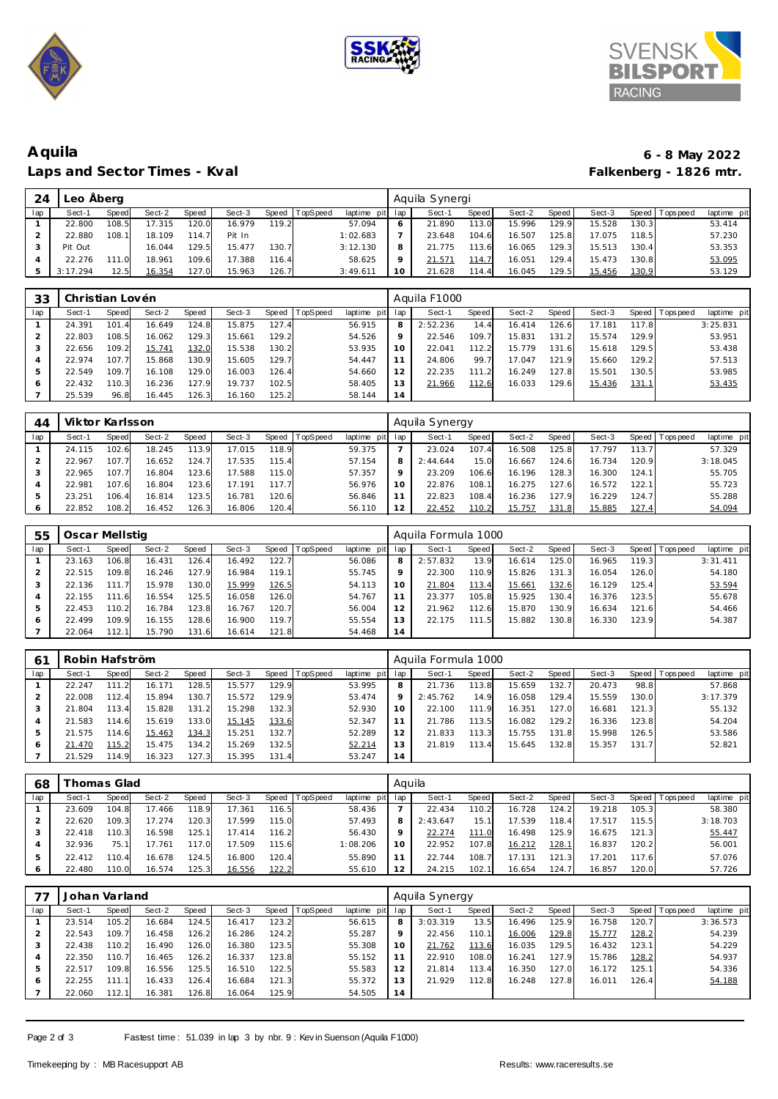





## **Aquila 6 - 8 May 2022** Laps and Sector Times - Kval

| 24  | Leo Aberg |       |        |       |        |       |                |             |     | Aquila Synergi |       |        |        |        |       |            |             |
|-----|-----------|-------|--------|-------|--------|-------|----------------|-------------|-----|----------------|-------|--------|--------|--------|-------|------------|-------------|
| lap | Sect-1    | Speed | Sect-2 | Speed | Sect-3 |       | Speed TopSpeed | laptime pit | lap | Sect-1         | Speed | Sect-2 | Speed  | Sect-3 | Speed | Tops pee d | laptime pit |
|     | 22.800    | 108.5 | 17.315 | 120.0 | 16.979 | 119.2 |                | 57.094      | 6   | 21.890         | 113.0 | 15.996 | 129.91 | 15.528 | 130.3 |            | 53.414      |
|     | 22.880    | 108.1 | 18.109 | 114.7 | Pit In |       |                | 1:02.683    |     | 23.648         | 104.6 | 16.507 | 125.8  | 17.075 | 118.5 |            | 57.230      |
|     | Pit Out   |       | 16.044 | 129.5 | 15.477 | 130.7 |                | 3:12.130    | 8   | 21.775         | 113.6 | 16.065 | 129.3  | 15.513 | 130.4 |            | 53.353      |
|     | 22.276    | 111 N | 18.961 | 109.6 | 17.388 | 116.4 |                | 58.625      | Q   | 21.57'         | 114.7 | 16.051 | 129.4  | 15.473 | 130.8 |            | 53.095      |
|     | 3:17.294  | 12.5  | 16.354 | 127.0 | 15.963 | 126.7 |                | 3:49.611    | 10  | 21.628         | 114.4 | 16.045 | 129.5  | 15.456 | 130.9 |            | 53.129      |

| 33  | Christian Lovén |              |        |       |        |       |                 |             |         | Aguila F1000 |       |        |       |        |       |                 |             |
|-----|-----------------|--------------|--------|-------|--------|-------|-----------------|-------------|---------|--------------|-------|--------|-------|--------|-------|-----------------|-------------|
| lap | Sect-1          | <b>Speed</b> | Sect-2 | Speed | Sect-3 | Speed | <b>TopSpeed</b> | laptime pit | lap     | Sect-1       | Speed | Sect-2 | Speed | Sect-3 |       | Speed Tops peed | laptime pit |
|     | 24.391          | 101.4        | 16.649 | 124.8 | 15.875 | 127.4 |                 | 56.915      | 8       | 2:52.236     | 14.4  | 16.414 | 126.6 | 17.181 | 117.8 |                 | 3:25.831    |
|     | 22.803          | 108.5        | 16.062 | 129.3 | 15.661 | 129.2 |                 | 54.526      | $\circ$ | 22.546       | 109.7 | 15.831 | 131.2 | 15.574 | 129.9 |                 | 53.951      |
|     | 22.656          | 109.2        | 15.741 | 132.0 | 15.538 | 130.2 |                 | 53.935      | 10      | 22.041       | 112.2 | 15.779 | 131.6 | 15.618 | 129.5 |                 | 53.438      |
|     | 22.974          | 107.7        | 15.868 | 130.9 | 15.605 | 129.7 |                 | 54.447      |         | 24.806       | 99.7  | 17.047 | 121.9 | 15.660 | 129.2 |                 | 57.513      |
|     | 22.549          | 109.7        | 16.108 | 129.0 | 16.003 | 126.4 |                 | 54.660      | 12      | 22.235       | 111.2 | 16.249 | 127.8 | 15.501 | 130.5 |                 | 53.985      |
| 6   | 22.432          | 110.3        | 16.236 | 127.9 | 19.737 | 102.5 |                 | 58.405      | 13      | 21.966       | 112.6 | 16.033 | 129.6 | 15.436 | 131.1 |                 | 53.435      |
|     | 25.539          | 96.8         | 16.445 | 126.3 | 16.160 | 125.2 |                 | 58.144      | 14      |              |       |        |       |        |       |                 |             |

| 44  | Viktor Karlsson |       |        |       |        |         |                 |                 |     | Aquila Synergy |                    |        |         |        |                    |                 |             |
|-----|-----------------|-------|--------|-------|--------|---------|-----------------|-----------------|-----|----------------|--------------------|--------|---------|--------|--------------------|-----------------|-------------|
| lap | Sect-1          | Speed | Sect-2 | Speed | Sect-3 | Speed T | <b>TopSpeed</b> | laptime pit lap |     | Sect-1         | Speed              | Sect-2 | Speed I | Sect-3 |                    | Speed Tops peed | laptime pit |
|     | 24.115          | 102.6 | 18.245 | 113.9 | 17.015 | 118.9   |                 | 59.375          |     | 23.024         | 107.4              | 16.508 | 125.8   | 17.797 | 113.7 <sub>1</sub> |                 | 57.329      |
|     | 22.967          | 107.7 | 16.652 | 124.7 | 17.535 | 115.4   |                 | 57.154          |     | 2:44.644       | 15.0               | 16.667 | 124.6   | 16.734 | 120.9              |                 | 3:18.045    |
|     | 22.965          | 107.7 | 16.804 | 123.6 | 17.588 | 115.0   |                 | 57.357          |     | 23.209         | 106.6              | 16.196 | 128.3   | 16.300 | 124.1              |                 | 55.705      |
|     | 22.981          | 107.6 | 16.804 | 123.6 | 17.191 | 117.7   |                 | 56.976          | 1 ດ | 22.876         | 108.1              | 16.275 | 127.6   | 16.572 | 122.1              |                 | 55.723      |
|     | 23.251          | 106.4 | 16.814 | 123.5 | 16.781 | 120.6   |                 | 56.846          |     | 22.823         | 108.4              | 16.236 | 127.9   | 16.229 | 124.7              |                 | 55.288      |
|     | 22.852          | 108.2 | 16.452 | 126.3 | 16.806 | 120.4   |                 | 56.110          |     | 22.452         | 110.2 <sub>1</sub> | 15.757 | 131.8   | 15.885 | 127.4              |                 | 54.094      |

| 55  | Oscar Mellstig |       |        |       |        |           |                 |             |         | Aquila Formula 1000 |       |        |       |        |       |                   |             |
|-----|----------------|-------|--------|-------|--------|-----------|-----------------|-------------|---------|---------------------|-------|--------|-------|--------|-------|-------------------|-------------|
| lap | Sect-1         | Speed | Sect-2 | Speed | Sect-3 | Speed   T | <b>TopSpeed</b> | laptime pit | lap     | Sect-1              | Speed | Sect-2 | Speed | Sect-3 |       | Speed   Tops peed | laptime pit |
|     | 23.163         | 106.8 | 16.431 | 126.4 | 16.492 | 122.7     |                 | 56.086      | 8       | 2:57.832            | 13.9  | 16.614 | 125.0 | 16.965 | 119.3 |                   | 3:31.411    |
|     | 22.515         | 109.8 | 16.246 | 127.9 | 16.984 | 119.11    |                 | 55.745      | $\circ$ | 22.300              | 110.9 | 15.826 | 131.3 | 16.054 | 126.0 |                   | 54.180      |
|     | 22.136         | 111.7 | 15.978 | 130.0 | 15.999 | 126.5     |                 | 54.113      | 10      | 21.804              | 113.4 | 15.661 | 132.6 | 16.129 | 125.4 |                   | 53.594      |
|     | 22.155         | 111.6 | 16.554 | 125.5 | 16.058 | 126.0     |                 | 54.767      |         | 23.377              | 105.8 | 15.925 | 130.4 | 16.376 | 123.5 |                   | 55.678      |
| 5   | 22.453         | 110.2 | 16.784 | 123.8 | 16.767 | 120.7     |                 | 56.004      |         | 21.962              | 112.6 | 15.870 | 130.9 | 16.634 | 121.6 |                   | 54.466      |
| 6   | 22.499         | 109.9 | 16.155 | 128.6 | 16.900 | 119.7     |                 | 55.554      | 3       | 22.175              | 111.5 | 15.882 | 130.8 | 16.330 | 123.9 |                   | 54.387      |
|     | 22.064         | 112.1 | 15.790 | 131.6 | 16.614 | 121.8     |                 | 54.468      | 14      |                     |       |        |       |        |       |                   |             |

| 6 <sup>1</sup> | Robin Hafström |       |        |       |        |       |          |             |         | Aquila Formula 1000 |       |        |       |        |         |            |             |
|----------------|----------------|-------|--------|-------|--------|-------|----------|-------------|---------|---------------------|-------|--------|-------|--------|---------|------------|-------------|
| lap            | Sect-1         | Speed | Sect-2 | Speed | Sect-3 | Speed | TopSpeed | laptime pit | lap     | Sect-1              | Speed | Sect-2 | Speed | Sect-3 | Speed I | T ops peed | laptime pit |
|                | 22.247         |       | 16.171 | 128.5 | 15.577 | 129.9 |          | 53.995      |         | 21.736              | 113.8 | 15.659 | 132.7 | 20.473 | 98.8    |            | 57.868      |
|                | 22.008         | 112.4 | 15.894 | 130.  | 15.572 | 129.9 |          | 53.474      | $\circ$ | 2:45.762            | 14.9  | 16.058 | 129.4 | 15.559 | 130.0   |            | 3:17.379    |
|                | 21.804         | 113.4 | 15.828 | 131.2 | 15.298 | 132.3 |          | 52.930      | 10      | 22.100              | 111.9 | 16.351 | 127.0 | 16.681 | 121.3   |            | 55.132      |
|                | 21.583         | 114.6 | 15.619 | 133.0 | 15.145 | 133.6 |          | 52.347      |         | 21.786              | 113.5 | 16.082 | 129.2 | 16.336 | 123.8   |            | 54.204      |
|                | 21.575         | 114.6 | 15.463 | 134.3 | 15.251 | 132.7 |          | 52.289      | 12      | 21.833              | 113.3 | 15.755 | 131.8 | 15.998 | 126.5   |            | 53.586      |
|                | 21.470         | 115.2 | 15.475 | 134.2 | 15.269 | 132.5 |          | 52.214      | ، 3     | 21.819              | 113.4 | 15.645 | 132.8 | 15.357 | 131.7   |            | 52.821      |
|                | 21.529         | 114.9 | 16.323 | 127.3 | 15.395 | 131.4 |          | 53.247      | 14      |                     |       |        |       |        |         |            |             |

| 68      | Thomas Glad |       |        |       |        |               |                 |                | Aquila |          |                    |        |       |        |       |                 |             |  |  |
|---------|-------------|-------|--------|-------|--------|---------------|-----------------|----------------|--------|----------|--------------------|--------|-------|--------|-------|-----------------|-------------|--|--|
| lap     | Sect-1      | Speed | Sect-2 | Speed | Sect-3 | Speed         | <b>TopSpeed</b> | laptime<br>pit | lap    | Sect-1   | <b>Speed</b>       | Sect-2 | Speed | Sect-3 |       | Speed Tops peed | laptime pit |  |  |
|         | 23.609      | 104.8 | 17.466 | 118.9 | 17.361 | 16.5          |                 | 58.436         |        | 22.434   | 110.2 <sub>1</sub> | 16.728 | 124.2 | 19.218 | 105.3 |                 | 58.380      |  |  |
|         | 22.620      | 109.3 | 17.274 | 120.3 | 17.599 | 115.0         |                 | 57.493         | ε      | 2:43.647 | 15.1               | 17.539 | 118.4 | 17.517 | 115.5 |                 | 3:18.703    |  |  |
|         | 22.418      | 110.3 | 16.598 | 125.1 | 17.414 | 116.2         |                 | 56.430         |        | 22.274   | 111.0              | 16.498 | 125.9 | 16.675 | 121.3 |                 | 55.447      |  |  |
|         | 32.936      | 75.   | 7.761  | 117.0 | 17.509 | 115.6         |                 | 1:08.206       | 10     | 22.952   | 107.8              | 16.212 | 128.1 | 16.837 | 120.2 |                 | 56.001      |  |  |
|         | 22.412      | 110.4 | 16.678 | 124.5 | 16.800 | 120.4         |                 | 55.890         |        | 22.744   | 108.7              | 17.131 | 121.3 | 7.201  | 117.6 |                 | 57.076      |  |  |
| $\circ$ | 22.480      | 110.0 | 16.574 | 125.3 | 16.556 | <u> 122.2</u> |                 | 55.610         | 12     | 24.215   | 102.7              | 16.654 | 124.7 | 16.857 | 120.0 |                 | 57.726      |  |  |

|     | Johan Varland |       |        |       |        |       |                |                | Aquila Synergy |          |       |        |       |        |       |             |             |  |
|-----|---------------|-------|--------|-------|--------|-------|----------------|----------------|----------------|----------|-------|--------|-------|--------|-------|-------------|-------------|--|
| lap | Sect-1        | Speed | Sect-2 | Speed | Sect-3 |       | Speed TopSpeed | laptime<br>pit | lap            | Sect-1   | Speed | Sect-2 | Speed | Sect-3 | Speed | T ops pee d | laptime pit |  |
|     | 23.514        | 105.2 | 16.684 | 124.5 | 16.417 | 123.2 |                | 56.615         | 8              | 3:03.319 | 13.5  | 16.496 | 125.9 | 16.758 | 120.7 |             | 3:36.573    |  |
|     | 22.543        | 109.7 | 16.458 | 126.2 | 16.286 | 124.2 |                | 55.287         | 9              | 22.456   | 110.1 | 16.006 | 129.8 | 15.777 | 128.2 |             | 54.239      |  |
|     | 22.438        | 110.2 | 16.490 | 126.0 | 16.380 | 123.5 |                | 55.308         | 10             | 21.762   | 113.6 | 16.035 | 129.5 | 16.432 | 123.1 |             | 54.229      |  |
| 4   | 22.350        | 110.7 | 16.465 | 126.2 | 16.337 | 123.8 |                | 55.152         | 11             | 22.910   | 108.0 | 16.241 | 127.9 | 15.786 | 128.2 |             | 54.937      |  |
| ь   | 22.517        | 109.8 | 16.556 | 125.5 | 16.510 | 122.5 |                | 55.583         | 12             | 21.814   | 113.4 | 16.350 | 127.0 | 16.172 | 125.1 |             | 54.336      |  |
| O   | 22.255        |       | 16.433 | 126.4 | 16.684 | 121.3 |                | 55.372         | 13             | 21.929   | 112.8 | 16.248 | 127.8 | 16.011 | 126.4 |             | 54.188      |  |
|     | 22.060        | 112.1 | 16.381 | 126.8 | 16.064 | 125.9 |                | 54.505         | 14             |          |       |        |       |        |       |             |             |  |

Page 2 of 3 Fastest time: 51.039 in lap 3 by nbr. 9 : Kev in Suenson (Aquila F1000)